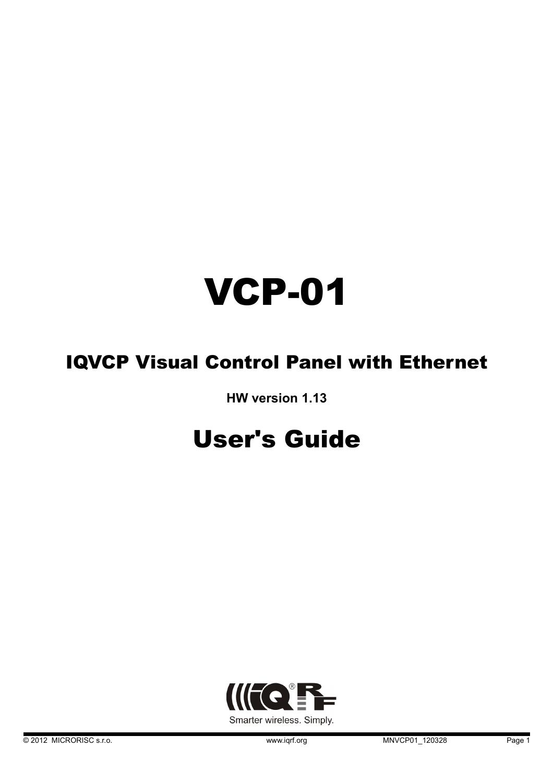# VCP-01

# IQVCP Visual Control Panel with Ethernet

**HW version 1.13**

# User's Guide

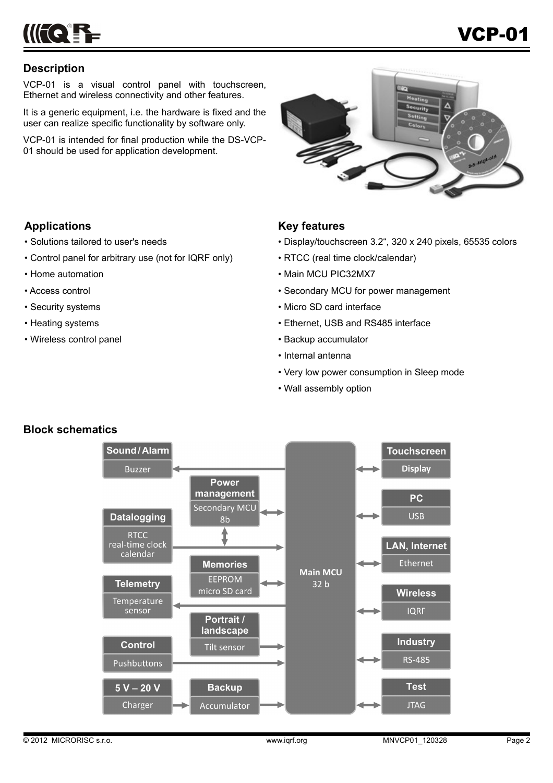

# **Description**

VCP-01 is a visual control panel with touchscreen, Ethernet and wireless connectivity and other features.

It is a generic equipment, i.e. the hardware is fixed and the user can realize specific functionality by software only.

VCP-01 is intended for final production while the DS-VCP-01 should be used for application development.



# **Applications**

- Solutions tailored to user's needs
- Control panel for arbitrary use (not for IQRF only)
- Home automation
- Access control
- Security systems
- Heating systems
- Wireless control panel

# **Key features**

- Display/touchscreen 3.2", 320 x 240 pixels, 65535 colors
- RTCC (real time clock/calendar)
- Main MCU PIC32MX7
- Secondary MCU for power management
- Micro SD card interface
- Ethernet, USB and RS485 interface
- Backup accumulator
- Internal antenna
- Very low power consumption in Sleep mode
- Wall assembly option



# **Block schematics**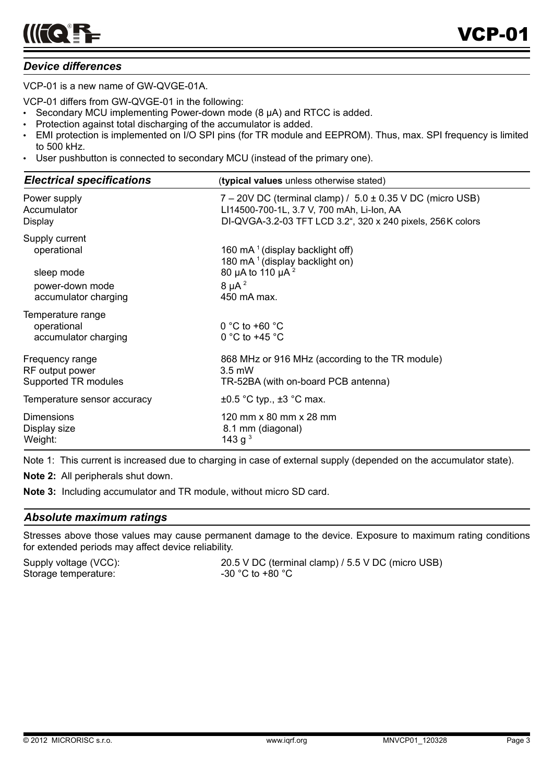# *Device differences*

VCP-01 is a new name of GW-QVGE-01A.

VCP-01 differs from GW-QVGE-01 in the following:

- Secondary MCU implementing Power-down mode (8 µA) and RTCC is added.
- Protection against total discharging of the accumulator is added.
- EMI protection is implemented on I/O SPI pins (for TR module and EEPROM). Thus, max. SPI frequency is limited to 500 kHz.
- User pushbutton is connected to secondary MCU (instead of the primary one).

| <b>Electrical specifications</b>                         | (typical values unless otherwise stated)                        |
|----------------------------------------------------------|-----------------------------------------------------------------|
| Power supply                                             | $7 - 20V$ DC (terminal clamp) / $5.0 \pm 0.35$ V DC (micro USB) |
| Accumulator                                              | LI14500-700-1L, 3.7 V, 700 mAh, Li-Ion, AA                      |
| Display                                                  | DI-QVGA-3.2-03 TFT LCD 3.2", 320 x 240 pixels, 256K colors      |
| Supply current                                           | 160 mA $1$ (display backlight off)                              |
| operational                                              | 180 mA <sup>1</sup> (display backlight on)                      |
| sleep mode                                               | 80 µA to 110 µA <sup>2</sup>                                    |
| power-down mode                                          | $8 \mu A^2$                                                     |
| accumulator charging                                     | 450 mA max.                                                     |
| Temperature range<br>operational<br>accumulator charging | $0^{\circ}$ C to +60 $^{\circ}$ C<br>0 °C to +45 $\degree$ C    |
| Frequency range                                          | 868 MHz or 916 MHz (according to the TR module)                 |
| RF output power                                          | $3.5$ mW                                                        |
| Supported TR modules                                     | TR-52BA (with on-board PCB antenna)                             |
| Temperature sensor accuracy                              | $\pm 0.5$ °C typ., $\pm 3$ °C max.                              |
| <b>Dimensions</b>                                        | 120 mm x 80 mm x 28 mm                                          |
| Display size                                             | 8.1 mm (diagonal)                                               |
| Weight:                                                  | 143 g <sup>3</sup>                                              |

Note 1: This current is increased due to charging in case of external supply (depended on the accumulator state).

**Note 2:** All peripherals shut down.

**Note 3:** Including accumulator and TR module, without micro SD card.

# *Absolute maximum ratings*

Stresses above those values may cause permanent damage to the device. Exposure to maximum rating conditions for extended periods may affect device reliability.

Storage temperature:  $-30 °C$  to +80 °C

Supply voltage (VCC): 20.5 V DC (terminal clamp) / 5.5 V DC (micro USB)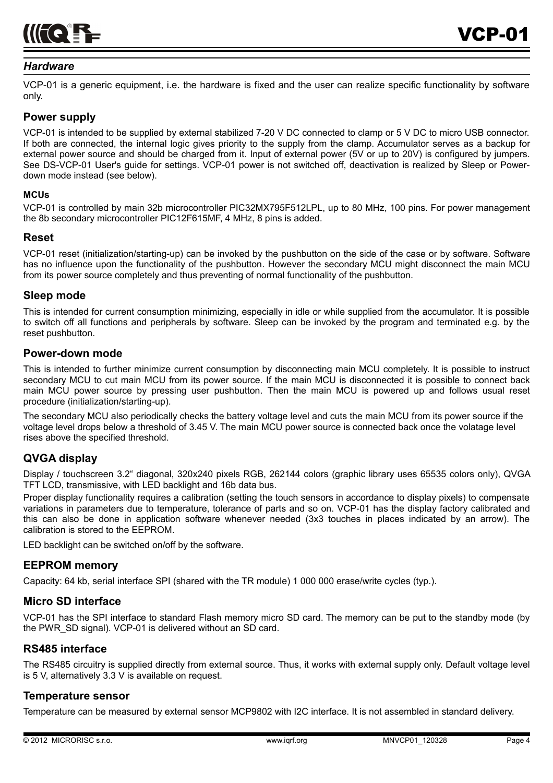

#### *Hardware*

VCP-01 is a generic equipment, i.e. the hardware is fixed and the user can realize specific functionality by software only.

#### **Power supply**

VCP-01 is intended to be supplied by external stabilized 7-20 V DC connected to clamp or 5 V DC to micro USB connector. If both are connected, the internal logic gives priority to the supply from the clamp. Accumulator serves as a backup for external power source and should be charged from it. Input of external power (5V or up to 20V) is configured by jumpers. See DS-VCP-01 User's guide for settings. VCP-01 power is not switched off, deactivation is realized by Sleep or Powerdown mode instead (see below).

#### **MCUs**

VCP-01 is controlled by main 32b microcontroller PIC32MX795F512LPL, up to 80 MHz, 100 pins. For power management the 8b secondary microcontroller PIC12F615MF, 4 MHz, 8 pins is added.

#### **Reset**

VCP-01 reset (initialization/starting-up) can be invoked by the pushbutton on the side of the case or by software. Software has no influence upon the functionality of the pushbutton. However the secondary MCU might disconnect the main MCU from its power source completely and thus preventing of normal functionality of the pushbutton.

#### **Sleep mode**

This is intended for current consumption minimizing, especially in idle or while supplied from the accumulator. It is possible to switch off all functions and peripherals by software. Sleep can be invoked by the program and terminated e.g. by the reset pushbutton.

#### **Power-down mode**

This is intended to further minimize current consumption by disconnecting main MCU completely. It is possible to instruct secondary MCU to cut main MCU from its power source. If the main MCU is disconnected it is possible to connect back main MCU power source by pressing user pushbutton. Then the main MCU is powered up and follows usual reset procedure (initialization/starting-up).

The secondary MCU also periodically checks the battery voltage level and cuts the main MCU from its power source if the voltage level drops below a threshold of 3.45 V. The main MCU power source is connected back once the volatage level rises above the specified threshold.

# **QVGA display**

Display / touchscreen 3.2" diagonal, 320x240 pixels RGB, 262144 colors (graphic library uses 65535 colors only), QVGA TFT LCD, transmissive, with LED backlight and 16b data bus.

Proper display functionality requires a calibration (setting the touch sensors in accordance to display pixels) to compensate variations in parameters due to temperature, tolerance of parts and so on. VCP-01 has the display factory calibrated and this can also be done in application software whenever needed (3x3 touches in places indicated by an arrow). The calibration is stored to the EEPROM.

LED backlight can be switched on/off by the software.

# **EEPROM memory**

Capacity: 64 kb, serial interface SPI (shared with the TR module) 1 000 000 erase/write cycles (typ.).

# **Micro SD interface**

VCP-01 has the SPI interface to standard Flash memory micro SD card. The memory can be put to the standby mode (by the PWR\_SD signal). VCP-01 is delivered without an SD card.

# **RS485 interface**

The RS485 circuitry is supplied directly from external source. Thus, it works with external supply only. Default voltage level is 5 V, alternatively 3.3 V is available on request.

# **Temperature sensor**

Temperature can be measured by external sensor MCP9802 with I2C interface. It is not assembled in standard delivery.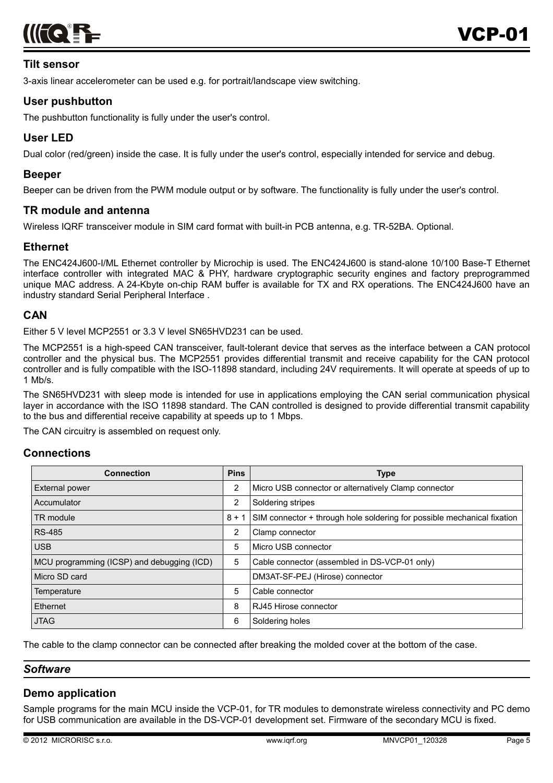

# **Tilt sensor**

3-axis linear accelerometer can be used e.g. for portrait/landscape view switching.

# **User pushbutton**

The pushbutton functionality is fully under the user's control.

# **User LED**

Dual color (red/green) inside the case. It is fully under the user's control, especially intended for service and debug.

# **Beeper**

Beeper can be driven from the PWM module output or by software. The functionality is fully under the user's control.

#### **TR module and antenna**

Wireless IQRF transceiver module in SIM card format with built-in PCB antenna, e.g. TR-52BA. Optional.

# **Ethernet**

The ENC424J600-I/ML Ethernet controller by Microchip is used. The ENC424J600 is stand-alone 10/100 Base-T Ethernet interface controller with integrated MAC & PHY, hardware cryptographic security engines and factory preprogrammed unique MAC address. A 24-Kbyte on-chip RAM buffer is available for TX and RX operations. The ENC424J600 have an industry standard Serial Peripheral Interface .

# **CAN**

Either 5 V level MCP2551 or 3.3 V level SN65HVD231 can be used.

The MCP2551 is a high-speed CAN transceiver, fault-tolerant device that serves as the interface between a CAN protocol controller and the physical bus. The MCP2551 provides differential transmit and receive capability for the CAN protocol controller and is fully compatible with the ISO-11898 standard, including 24V requirements. It will operate at speeds of up to 1 Mb/s.

The SN65HVD231 with sleep mode is intended for use in applications employing the CAN serial communication physical layer in accordance with the ISO 11898 standard. The CAN controlled is designed to provide differential transmit capability to the bus and differential receive capability at speeds up to 1 Mbps.

The CAN circuitry is assembled on request only.

#### **Connections**

| <b>Connection</b>                          | <b>Pins</b>    | <b>Type</b>                                                             |
|--------------------------------------------|----------------|-------------------------------------------------------------------------|
| <b>External power</b>                      | 2              | Micro USB connector or alternatively Clamp connector                    |
| Accumulator                                | 2              | Soldering stripes                                                       |
| TR module                                  | $8 + 1$        | SIM connector + through hole soldering for possible mechanical fixation |
| <b>RS-485</b>                              | $\overline{2}$ | Clamp connector                                                         |
| <b>USB</b>                                 | 5              | Micro USB connector                                                     |
| MCU programming (ICSP) and debugging (ICD) | 5              | Cable connector (assembled in DS-VCP-01 only)                           |
| Micro SD card                              |                | DM3AT-SF-PEJ (Hirose) connector                                         |
| Temperature                                | 5              | Cable connector                                                         |
| Ethernet                                   | 8              | RJ45 Hirose connector                                                   |
| <b>JTAG</b>                                | 6              | Soldering holes                                                         |

The cable to the clamp connector can be connected after breaking the molded cover at the bottom of the case.

#### *Software*

# **Demo application**

Sample programs for the main MCU inside the VCP-01, for TR modules to demonstrate wireless connectivity and PC demo for USB communication are available in the DS-VCP-01 development set. Firmware of the secondary MCU is fixed.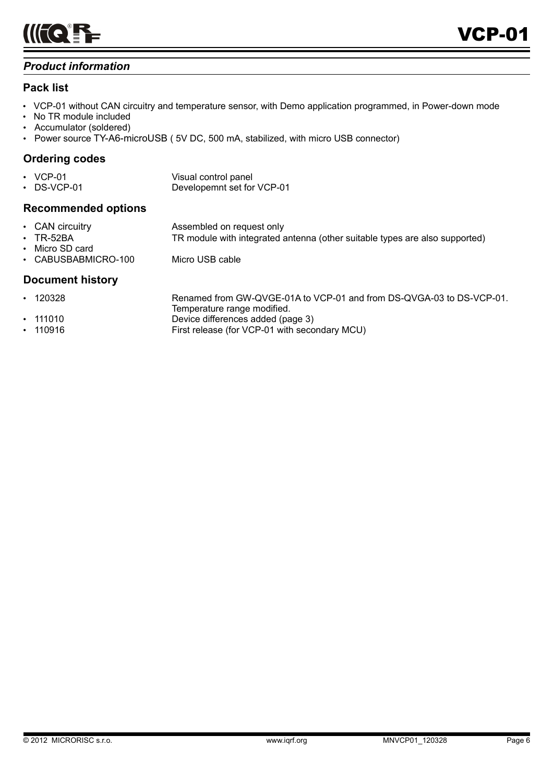

# *Product information*

# **Pack list**

- VCP-01 without CAN circuitry and temperature sensor, with Demo application programmed, in Power-down mode
- No TR module included
- Accumulator (soldered)
- Power source TY-A6-microUSB (5V DC, 500 mA, stabilized, with micro USB connector)

# **Ordering codes**

| $\cdot$ VCP-01    | Visual control panel       |
|-------------------|----------------------------|
| $\cdot$ DS-VCP-01 | Developemnt set for VCP-01 |

# **Recommended options**

| • CAN circuitry     | Assembled on request only                                                   |
|---------------------|-----------------------------------------------------------------------------|
| $\cdot$ TR-52BA     | TR module with integrated antenna (other suitable types are also supported) |
| • Micro SD card     |                                                                             |
| • CABUSBABMICRO-100 | Micro USB cable                                                             |

# **Document history**

| $\cdot$ 120328 | Renamed from GW-QVGE-01A to VCP-01 and from DS-QVGA-03 to DS-VCP-01. |
|----------------|----------------------------------------------------------------------|
|                | Temperature range modified.                                          |
| $\cdot$ 111010 | Device differences added (page 3)                                    |
| $\cdot$ 110916 | First release (for VCP-01 with secondary MCU)                        |